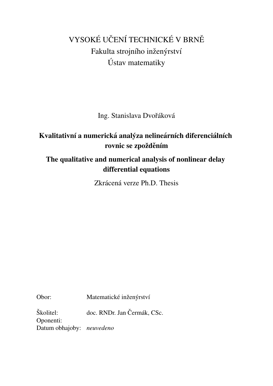# VYSOKÉ UČENÍ TECHNICKÉ V BRNĚ Fakulta strojního inženýrství Ustav matematiky ´

Ing. Stanislava Dvořáková

# Kvalitativní a numerická analýza nelineárních diferenciálních rovnic se zpožděním

# The qualitative and numerical analysis of nonlinear delay differential equations

Zkrácená verze Ph.D. Thesis

Obor: Matematické inženýrství

Školitel: doc. RNDr. Jan Čermák, CSc. Oponenti: Datum obhajoby: *neuvedeno*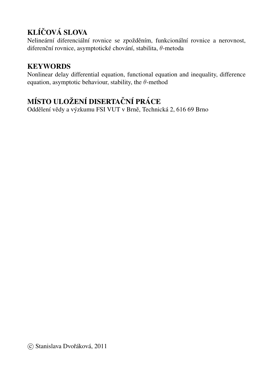# KLÍČOVÁ SLOVA

Nelineární diferenciální rovnice se zpožděním, funkcionální rovnice a nerovnost, diferenční rovnice, asymptotické chování, stabilita,  $\theta$ -metoda

# **KEYWORDS**

Nonlinear delay differential equation, functional equation and inequality, difference equation, asymptotic behaviour, stability, the  $\theta$ -method

# MÍSTO ULOŽENÍ DISERTAČNÍ PRÁCE

Oddělení vědy a výzkumu FSI VUT v Brně, Technická 2, 616 69 Brno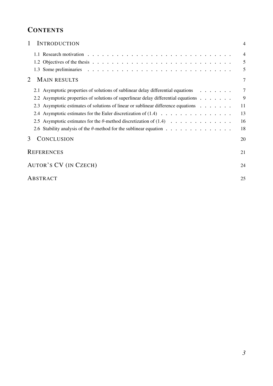# **CONTENTS**

| 1 | <b>INTRODUCTION</b>                                                                                       | $\overline{4}$ |  |  |  |
|---|-----------------------------------------------------------------------------------------------------------|----------------|--|--|--|
|   |                                                                                                           | $\overline{4}$ |  |  |  |
|   |                                                                                                           | 5              |  |  |  |
|   |                                                                                                           | 5              |  |  |  |
| 2 | <b>MAIN RESULTS</b>                                                                                       | 7              |  |  |  |
|   | 2.1 Asymptotic properties of solutions of sublinear delay differential equations $\dots \dots$            | $\tau$         |  |  |  |
|   | 2.2 Asymptotic properties of solutions of superlinear delay differential equations                        | 9              |  |  |  |
|   | 2.3 Asymptotic estimates of solutions of linear or sublinear difference equations                         | 11             |  |  |  |
|   | 2.4 Asymptotic estimates for the Euler discretization of $(1.4)$                                          | 13             |  |  |  |
|   | 2.5 Asymptotic estimates for the $\theta$ -method discretization of (1.4)                                 | 16             |  |  |  |
|   | 2.6 Stability analysis of the $\theta$ -method for the sublinear equation $\dots \dots \dots \dots \dots$ | 18             |  |  |  |
| 3 | CONCLUSION                                                                                                | 20             |  |  |  |
|   | <b>REFERENCES</b>                                                                                         |                |  |  |  |
|   | AUTOR'S CV (IN CZECH)                                                                                     |                |  |  |  |
|   | ABSTRACT                                                                                                  | 25             |  |  |  |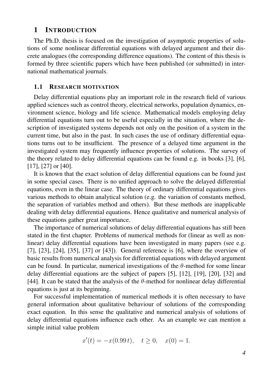#### <span id="page-3-0"></span>1 INTRODUCTION

The Ph.D. thesis is focused on the investigation of asymptotic properties of solutions of some nonlinear differential equations with delayed argument and their discrete analogues (the corresponding difference equations). The content of this thesis is formed by three scientific papers which have been published (or submitted) in international mathematical journals.

#### <span id="page-3-1"></span>1.1 RESEARCH MOTIVATION

Delay differential equations play an important role in the research field of various applied sciences such as control theory, electrical networks, population dynamics, environment science, biology and life science. Mathematical models employing delay differential equations turn out to be useful especially in the situation, where the description of investigated systems depends not only on the position of a system in the current time, but also in the past. In such cases the use of ordinary differential equations turns out to be insufficient. The presence of a delayed time argument in the investigated system may frequently influence properties of solutions. The survey of the theory related to delay differential equations can be found e.g. in books [\[3\]](#page-20-1), [\[6\]](#page-20-2), [\[17\]](#page-21-0), [\[27\]](#page-21-1) or [\[40\]](#page-22-0).

It is known that the exact solution of delay differential equations can be found just in some special cases. There is no unified approach to solve the delayed differential equations, even in the linear case. The theory of ordinary differential equations gives various methods to obtain analytical solution (e.g. the variation of constants method, the separation of variables method and others). But these methods are inapplicable dealing with delay differential equations. Hence qualitative and numerical analysis of these equations gather great importance.

The importance of numerical solutions of delay differential equations has still been stated in the first chapter. Problems of numerical methods for (linear as well as nonlinear) delay differential equations have been investigated in many papers (see e.g. [\[7\]](#page-20-3), [\[23\]](#page-21-2), [\[24\]](#page-21-3), [\[35\]](#page-22-1), [\[37\]](#page-22-2) or [\[43\]](#page-22-3)). General reference is [\[6\]](#page-20-2), where the overview of basic results from numerical analysis for differential equations with delayed argument can be found. In particular, numerical investigations of the  $\theta$ -method for some linear delay differential equations are the subject of papers [\[5\]](#page-20-4), [\[12\]](#page-20-5), [\[19\]](#page-21-4), [\[20\]](#page-21-5), [\[32\]](#page-21-6) and [\[44\]](#page-22-4). It can be stated that the analysis of the  $\theta$ -method for nonlinear delay differential equations is just at its beginning.

For successful implementation of numerical methods it is often necessary to have general information about qualitative behaviour of solutions of the corresponding exact equation. In this sense the qualitative and numerical analysis of solutions of delay differential equations influence each other. As an example we can mention a simple initial value problem

$$
x'(t) = -x(0.99 t), \quad t \ge 0, \quad x(0) = 1.
$$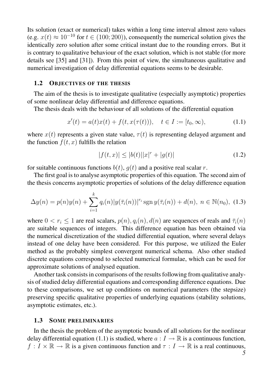Its solution (exact or numerical) takes within a long time interval almost zero values (e.g.  $x(t) \approx 10^{-10}$  for  $t \in (100, 200)$ ), consequently the numerical solution gives the identically zero solution after some critical instant due to the rounding errors. But it is contrary to qualitative behaviour of the exact solution, which is not stable (for more details see [\[35\]](#page-22-1) and [\[31\]](#page-21-7)). From this point of view, the simultaneous qualitative and numerical investigation of delay differential equations seems to be desirable.

#### <span id="page-4-0"></span>1.2 OBJECTIVES OF THE THESIS

The aim of the thesis is to investigate qualitative (especially asymptotic) properties of some nonlinear delay differential and difference equations.

The thesis deals with the behaviour of all solutions of the differential equation

<span id="page-4-2"></span>
$$
x'(t) = a(t)x(t) + f(t, x(\tau(t))), \quad t \in I := [t_0, \infty), \tag{1.1}
$$

where  $x(t)$  represents a given state value,  $\tau(t)$  is representing delayed argument and the function  $f(t, x)$  fulfills the relation

<span id="page-4-3"></span>
$$
|f(t,x)| \le |b(t)||x|^r + |g(t)| \tag{1.2}
$$

for suitable continuous functions  $b(t)$ ,  $q(t)$  and a positive real scalar r.

The first goal is to analyse asymptotic properties of this equation. The second aim of the thesis concerns asymptotic properties of solutions of the delay difference equation

<span id="page-4-4"></span>
$$
\Delta y(n) = p(n)y(n) + \sum_{i=1}^{k} q_i(n)|y(\bar{\tau}_i(n))|^{r_i} \operatorname{sgn} y(\bar{\tau}_i(n)) + d(n), \ n \in \mathbb{N}(n_0), \ (1.3)
$$

where  $0 < r_i \leq 1$  are real scalars,  $p(n)$ ,  $q_i(n)$ ,  $d(n)$  are sequences of reals and  $\bar{\tau}_i(n)$ are suitable sequences of integers. This difference equation has been obtained via the numerical discretization of the studied differential equation, where several delays instead of one delay have been considered. For this purpose, we utilized the Euler method as the probably simplest convergent numerical schema. Also other studied discrete equations correspond to selected numerical formulae, which can be used for approximate solutions of analysed equation.

Another task consists in comparisons of the results following from qualitative analysis of studied delay differential equations and corresponding difference equations. Due to these comparisons, we set up conditions on numerical parameters (the stepsize) preserving specific qualitative properties of underlying equations (stability solutions, asymptotic estimates, etc.).

#### <span id="page-4-1"></span>1.3 SOME PRELIMINARIES

In the thesis the problem of the asymptotic bounds of all solutions for the nonlinear delay differential equation [\(1.1\)](#page-4-2) is studied, where  $a: I \to \mathbb{R}$  is a continuous function,  $f: I \times \mathbb{R} \to \mathbb{R}$  is a given continuous function and  $\tau: I \to \mathbb{R}$  is a real continuous,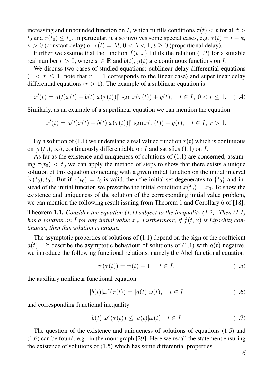increasing and unbounded function on I, which fulfills conditions  $\tau(t) < t$  for all  $t >$  $t_0$  and  $\tau(t_0) \le t_0$ . In particular, it also involves some special cases, e.g.  $\tau(t) = t - \kappa$ ,  $\kappa > 0$  (constant delay) or  $\tau(t) = \lambda t$ ,  $0 < \lambda < 1$ ,  $t \ge 0$  (proportional delay).

Further we assume that the function  $f(t, x)$  fulfils the relation [\(1.2\)](#page-4-3) for a suitable real number  $r > 0$ , where  $x \in \mathbb{R}$  and  $b(t)$ ,  $q(t)$  are continuous functions on I.

We discuss two cases of studied equations: sublinear delay differential equations  $(0 < r \leq 1$ , note that  $r = 1$  corresponds to the linear case) and superlinear delay differential equations ( $r > 1$ ). The example of a sublinear equation is

<span id="page-5-0"></span>
$$
x'(t) = a(t)x(t) + b(t)|x(\tau(t))|^{r} \operatorname{sgn} x(\tau(t)) + g(t), \quad t \in I, \ 0 < r \le 1. \tag{1.4}
$$

Similarly, as an example of a superlinear equation we can mention the equation

$$
x'(t) = a(t)x(t) + b(t)|x(\tau(t))|^{r} \operatorname{sgn} x(\tau(t)) + g(t), \quad t \in I, r > 1.
$$

By a solution of [\(1.1\)](#page-4-2) we understand a real valued function  $x(t)$  which is continuous on  $[\tau(t_0),\infty)$ , continuously differentiable on I and satisfies [\(1.1\)](#page-4-2) on I.

As far as the existence and uniqueness of solutions of [\(1.1\)](#page-4-2) are concerned, assuming  $\tau(t_0) < t_0$  we can apply the method of steps to show that there exists a unique solution of this equation coinciding with a given initial function on the initial interval  $[\tau(t_0), t_0]$ . But if  $\tau(t_0) = t_0$  is valid, then the initial set degenerates to  $\{t_0\}$  and instead of the initial function we prescribe the initial condition  $x(t_0) = x_0$ . To show the existence and uniqueness of the solution of the corresponding initial value problem, we can mention the following result issuing from Theorem 1 and Corollary 6 of [\[18\]](#page-21-8).

<span id="page-5-5"></span>Theorem 1.1. *Consider the equation [\(1.1\)](#page-4-2) subject to the inequality [\(1.2\)](#page-4-3). Then [\(1.1\)](#page-4-2)* has a solution on I for any initial value  $x_0$ . Furthermore, if  $f(t, x)$  is Lipschitz con*tinuous, then this solution is unique.*

The asymptotic properties of solutions of [\(1.1\)](#page-4-2) depend on the sign of the coefficient  $a(t)$ . To describe the asymptotic behaviour of solutions of [\(1.1\)](#page-4-2) with  $a(t)$  negative, we introduce the following functional relations, namely the Abel functional equation

<span id="page-5-1"></span>
$$
\psi(\tau(t)) = \psi(t) - 1, \quad t \in I,\tag{1.5}
$$

the auxiliary nonlinear functional equation

<span id="page-5-2"></span>
$$
|b(t)|\omega^r(\tau(t)) = |a(t)|\omega(t), \quad t \in I \tag{1.6}
$$

and corresponding functional inequality

<span id="page-5-4"></span>
$$
|b(t)|\omega^r(\tau(t)) \le |a(t)|\omega(t) \quad t \in I. \tag{1.7}
$$

<span id="page-5-3"></span>The question of the existence and uniqueness of solutions of equations [\(1.5\)](#page-5-1) and [\(1.6\)](#page-5-2) can be found, e.g., in the monograph [\[29\]](#page-21-9). Here we recall the statement ensuring the existence of solutions of [\(1.5\)](#page-5-1) which has some differential properties.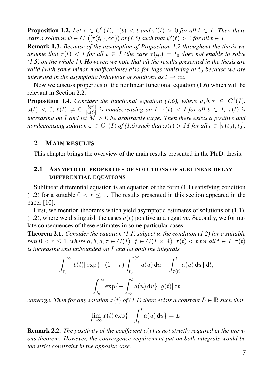**Proposition 1.2.** Let  $\tau \in C^1(I)$ ,  $\tau(t) < t$  and  $\tau'(t) > 0$  for all  $t \in I$ . Then there *exits a solution*  $\psi \in C^1([\tau(t_0), \infty))$  *of* [\(1.5\)](#page-5-1) *such that*  $\psi'(t) > 0$  *for all*  $t \in I$ *.* 

<span id="page-6-2"></span>Remark 1.3. *Because of the assumption of Proposition [1.2](#page-5-3) throughout the thesis we assume that*  $\tau(t) < t$  *for all*  $t \in I$  *(the case*  $\tau(t_0) = t_0$  *does not enable to solve [\(1.5\)](#page-5-1) on the whole* I*). However, we note that all the results presented in the thesis are valid (with some minor modifications) also for lags vanishing at*  $t_0$  *because we are interested in the asymptotic behaviour of solutions as*  $t \rightarrow \infty$ *.* 

Now we discuss properties of the nonlinear functional equation [\(1.6\)](#page-5-2) which will be relevant in Section [2.2.](#page-8-0)

<span id="page-6-3"></span>**Proposition 1.4.** Consider the functional equation [\(1.6\)](#page-5-2), where  $a, b, \tau \in C^1(I)$ ,  $a(t) \, < \, 0, \; b(t) \, \neq \, 0, \; \frac{|b(t)|}{|a(t)|}$  $\frac{|b(t)|}{|a(t)|}$  is nondecreasing on I,  $\tau(t) < t$  for all  $t \in I$ ,  $\tau(t)$  is *increasing on* I and let  $\overline{M} > 0$  be arbitrarily large. Then there exists a positive and *nondecreasing solution*  $\omega \in C^1(I)$  *of* [\(1.6\)](#page-5-2) such that  $\omega(t) > M$  for all  $t \in [\tau(t_0), t_0]$ .

#### <span id="page-6-0"></span>2 MAIN RESULTS

This chapter brings the overview of the main results presented in the Ph.D. thesis.

#### <span id="page-6-1"></span>2.1 ASYMPTOTIC PROPERTIES OF SOLUTIONS OF SUBLINEAR DELAY DIFFERENTIAL EQUATIONS

Sublinear differential equation is an equation of the form [\(1.1\)](#page-4-2) satisfying condition [\(1.2\)](#page-4-3) for a suitable  $0 < r \le 1$ . The results presented in this section appeared in the paper [\[10\]](#page-20-6).

First, we mention theorems which yield asymptotic estimates of solutions of [\(1.1\)](#page-4-2), [\(1.2\)](#page-4-3), where we distinguish the cases  $a(t)$  positive and negative. Secondly, we formulate consequences of these estimates in some particular cases.

Theorem 2.1. *Consider the equation [\(1.1\)](#page-4-2) subject to the condition [\(1.2\)](#page-4-3) for a suitable real*  $0 < r \leq 1$ *, where*  $a, b, g, \tau \in C(I)$ *,*  $f \in C(I \times \mathbb{R})$ *,*  $\tau(t) < t$  *for all*  $t \in I$ *,*  $\tau(t)$ *is increasing and unbounded on* I *and let both the integrals*

$$
\int_{t_0}^{\infty} |b(t)| \exp\{- (1 - r) \int_{t_0}^{\tau(t)} a(u) du - \int_{\tau(t)}^{t} a(u) du\} dt,
$$

$$
\int_{t_0}^{\infty} \exp\{- \int_{t_0}^{t} a(u) du\} |g(t)| dt
$$

*converge. Then for any solution*  $x(t)$  *of*  $(1.1)$  *there exists a constant*  $L \in \mathbb{R}$  *such that* 

$$
\lim_{t \to \infty} x(t) \exp\{-\int_{t_0}^t a(u) \, \mathrm{d}u\} = L.
$$

Remark 2.2. *The positivity of the coefficient* a(t) *is not strictly required in the previous theorem. However, the convergence requirement put on both integrals would be too strict constraint in the opposite case.*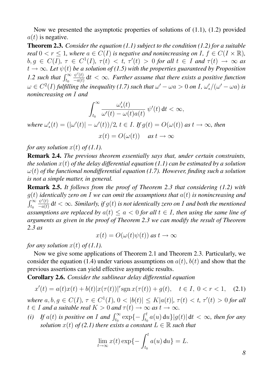Now we presented the asymptotic properties of solutions of [\(1.1\)](#page-4-2), [\(1.2\)](#page-4-3) provided  $a(t)$  is negative.

Theorem 2.3. *Consider the equation [\(1.1\)](#page-4-2) subject to the condition [\(1.2\)](#page-4-3) for a suitable real*  $0 < r \leq 1$ *, where*  $a \in C(I)$  *is negative and nonincreasing on I,*  $f \in C(I \times \mathbb{R})$ *,*  $b, g \in C(I), \tau \in C^1(I), \tau(t) < t, \tau'(t) > 0$  for all  $t \in I$  and  $\tau(t) \to \infty$  as  $t \rightarrow \infty$ *. Let*  $\psi(t)$  *be a solution of [\(1.5\)](#page-5-1)* with the properties guaranteed by Proposition *[1.2](#page-5-3) such that*  $\int_{t_0}^{\infty}$  $\psi'(t)$  $\frac{\psi(t)}{-a(t)}$  dt  $<\infty$ . Further assume that there exists a positive function  $\omega \in C^2(I)$  fulfilling the inequality [\(1.7\)](#page-5-4) such that  $\omega' - \omega a > 0$  on I,  $\omega'$  $\int_{\ast}^{t}/(\omega'-\omega a)$  *is nonincreasing on* I *and*

$$
\int_{t_0}^{\infty}\frac{\omega'_*(t)}{\omega'(t)-\omega(t)a(t)}\;\psi'(t)\;\!{\rm d}t<\infty,
$$

where  $\omega'_*$  $\mathcal{L}'_*(t) = (|\omega'(t)| - \omega'(t))/2, t \in I$ . If  $g(t) = O(\omega(t))$  as  $t \to \infty$ , then

 $x(t) = O(\omega(t))$  *as*  $t \to \infty$ 

*for any solution*  $x(t)$  *of*  $(1.1)$ *.* 

Remark 2.4. *The previous theorem essentially says that, under certain constraints, the solution* x(t) *of the delay differential equation [\(1.1\)](#page-4-2) can be estimated by a solution* ω(t) *of the functional nondifferential equation [\(1.7\)](#page-5-4). However, finding such a solution is not a simple matter, in general.*

<span id="page-7-2"></span>Remark 2.5. *It follows from the proof of Theorem [2.3](#page-6-2) that considering [\(1.2\)](#page-4-3) with* g(t) *identically zero on* I *we can omit the assumptions that* a(t) *is nonincreasing and*  $\int_{t_0}^{\infty}$  $\psi'(t)$  $\frac{\psi^*(t)}{-a(t)}$  dt  $<\infty$ . Similarly, if  $g(t)$  is not identically zero on I and both the mentioned *assumptions are replaced by*  $a(t) \le a < 0$  *for all*  $t \in I$ *, then using the same line of arguments as given in the proof of Theorem [2.3](#page-6-2) we can modify the result of Theorem [2.3](#page-6-2) as*

$$
x(t) = O(\omega(t)\psi(t)) \text{ as } t \to \infty
$$

*for any solution*  $x(t)$  *of*  $(1.1)$ *.* 

Now we give some applications of Theorem [2.1](#page-5-5) and Theorem [2.3.](#page-6-2) Particularly, we consider the equation [\(1.4\)](#page-5-0) under various assumptions on  $a(t)$ ,  $b(t)$  and show that the previous assertions can yield effective asymptotic results.

<span id="page-7-1"></span>Corollary 2.6. *Consider the sublinear delay differential equation*

<span id="page-7-0"></span>
$$
x'(t) = a(t)x(t) + b(t)|x(\tau(t))|^{r} \operatorname{sgn} x(\tau(t)) + g(t), \quad t \in I, \ 0 < r < 1,\tag{2.1}
$$

 $where \ a, b, g \in C(I), \ \tau \in C^1(I), \ 0 < |b(t)| \leq K |a(t)|, \ \tau(t) < t, \ \tau'(t) > 0 \ for \ all$  $t \in I$  *and a suitable real*  $K > 0$  *and*  $\tau(t) \to \infty$  *as*  $t \to \infty$ *.* 

*(i)* If  $a(t)$  is positive on I and  $\int_{t_0}^{\infty} \exp\{-\int_{t_0}^t a(u) \, du\} |g(t)| \, dt < \infty$ , then for any *solution*  $x(t)$  *of* [\(2.1\)](#page-7-0) there exists a constant  $L \in \mathbb{R}$  *such that* 

$$
\lim_{t \to \infty} x(t) \exp\{-\int_{t_0}^t a(u) \, \mathrm{d}u\} = L.
$$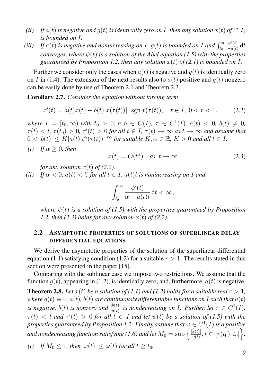- *(ii) If*  $a(t)$  *is negative and*  $q(t)$  *is identically zero on I*, then any solution  $x(t)$  of [\(2.1\)](#page-7-0) *is bounded on* I*.*
- *(iii)* If  $a(t)$  is negative and nonincreasing on I,  $g(t)$  is bounded on I and  $\int_{t_0}^{\infty}$  $\psi'(t)$  $\frac{\psi(t)}{-a(t)} dt$ *converges, where*  $\psi(t)$  *is a solution of the Abel equation [\(1.5\)](#page-5-1)* with the properties *guaranteed by Proposition [1.2,](#page-5-3) then any solution*  $x(t)$  *of* [\(2.1\)](#page-7-0) is bounded on I.

Further we consider only the cases when  $a(t)$  is negative and  $q(t)$  is identically zero on I in [\(1.4\)](#page-5-0). The extension of the next results also to  $a(t)$  positive and  $q(t)$  nonzero can be easily done by use of Theorem [2.1](#page-5-5) and Theorem [2.3.](#page-6-2)

Corollary 2.7. *Consider the equation without forcing term*

<span id="page-8-1"></span>
$$
x'(t) = a(t)x(t) + b(t)|x(\tau(t))|^{r} \operatorname{sgn} x(\tau(t)), \quad t \in I, \ 0 < r < 1,\tag{2.2}
$$

*where*  $I = [t_0, \infty)$  *with*  $t_0 > 0$ ,  $a, b \in C(I)$ ,  $\tau \in C^1(I)$ ,  $a(t) < 0$ ,  $b(t) \neq 0$ ,  $\tau(t) < t$ ,  $\tau(t_0) > 0$ ,  $\tau'(t) > 0$  for all  $t \in I$ ,  $\tau(t) \to \infty$  as  $t \to \infty$  and assume that  $0 < |b(t)| \leq K |a(t)| t^{\alpha} (\tau(t))^{-r\alpha}$  for suitable  $K, \alpha \in \mathbb{R}, K > 0$  and all  $t \in I$ .

*(i) If*  $\alpha > 0$ *, then* 

<span id="page-8-2"></span>
$$
x(t) = O(t^{\alpha}) \quad \text{as } t \to \infty \tag{2.3}
$$

*for any solution*  $x(t)$  *of* [\(2.2\)](#page-8-1).

(*ii*) *If*  $\alpha < 0$ ,  $a(t) < \frac{\alpha}{t}$  $\frac{\alpha}{t}$  for all  $t \in I$ ,  $a(t)t$  is nonincreasing on  $I$  and

$$
\int_{t_0}^\infty \frac{\psi'(t)}{\alpha - a(t)t} \, \mathrm{d}t < \infty,
$$

*where*  $\psi(t)$  *is a solution of [\(1.5\)](#page-5-1)* with the properties guaranteed by Proposition *[1.2,](#page-5-3) then*  $(2.3)$  *holds for any solution*  $x(t)$  *of*  $(2.2)$ *.* 

#### <span id="page-8-0"></span>2.2 ASYMPTOTIC PROPERTIES OF SOLUTIONS OF SUPERLINEAR DELAY DIFFERENTIAL EQUATIONS

We derive the asymptotic properties of the solution of the superlinear differential equation [\(1.1\)](#page-4-2) satisfying condition [\(1.2\)](#page-4-3) for a suitable  $r > 1$ . The results stated in this section were presented in the paper [\[15\]](#page-21-10).

Comparing with the sublinear case we impose two restrictions. We assume that the function  $g(t)$ , appearing in [\(1.2\)](#page-4-3), is identically zero, and, furthermore,  $a(t)$  is negative.

<span id="page-8-3"></span>**Theorem 2.8.** Let  $x(t)$  be a solution of [\(1.1\)](#page-4-2) and [\(1.2\)](#page-4-3) holds for a suitable real  $r > 1$ , *where*  $g(t) \equiv 0$ ,  $a(t)$ ,  $b(t)$  *are continuously differentiable functions on* I *such that*  $a(t)$ *is negative,*  $b(t)$  *is nonzero and*  $\frac{|b(t)|}{|a(t)|}$  *is nondecreasing on I. Further, let*  $\tau \in C^1(I)$ *,*  $\tau(t)$   $\langle$  t and  $\tau'(t)$   $>$  0 for all  $t \in I$  and let  $\psi(t)$  be a solution of [\(1.5\)](#page-5-1) with the properties guaranteed by Proposition [1.2.](#page-5-3) Finally assume that  $\omega \in C^1(I)$  is a positive and nondecreasing function satisfying [\(1.6\)](#page-5-2) and let  $M_0 = \sup \left\{ \frac{|x(t)|}{\omega(t)} \right\}$  $\frac{x(t)|}{\omega(t)}, t \in [\tau(t_0), t_0]\Big\}.$ 

*(i) If*  $M_0 \leq 1$ *, then*  $|x(t)| \leq \omega(t)$  *for all*  $t > t_0$ *.*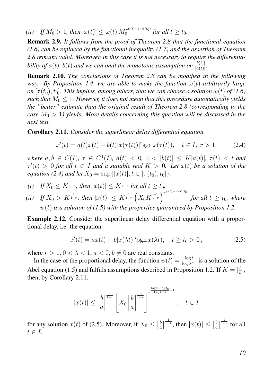*(ii) If*  $M_0 > 1$ *, then*  $|x(t)| \le \omega(t) M_0^{r^{\psi(t)+1-\psi(t_0)}}$  $\int_{0}^{\tau_{\mathcal{F}}^{w(t)+1-\psi(t_0)}}$  for all  $t \geq t_0$ .

Remark 2.9. *It follows from the proof of Theorem [2.8](#page-8-3) that the functional equation [\(1.6\)](#page-5-2) can be replaced by the functional inequality [\(1.7\)](#page-5-4) and the assertion of Theorem [2.8](#page-8-3) remains valid. Moreover, in this case it is not necessary to require the differentiability of*  $a(t)$ ,  $b(t)$  and we can omit the monotonic assumption on  $\frac{|b(t)|}{|a(t)|}$ .

Remark 2.10. *The conclusions of Theorem [2.8](#page-8-3) can be modified in the following way.* By Proposition [1.4,](#page-6-3) we are able to make the function  $\omega(t)$  arbitrarily large *on*  $[\tau(t_0), t_0]$ . This implies, among others, that we can choose a solution  $\omega(t)$  of [\(1.6\)](#page-5-2) *such that*  $M_0 \leq 1$ . However, it does not mean that this procedure automatically yields *the "better" estimate than the original result of Theorem [2.8](#page-8-3) (corresponding to the case*  $M_0 > 1$ ) yields. More details concerning this question will be discussed in the *next text.*

<span id="page-9-1"></span>Corollary 2.11. *Consider the superlinear delay differential equation*

<span id="page-9-0"></span>
$$
x'(t) = a(t)x(t) + b(t)|x(\tau(t))|^{r} \operatorname{sgn} x(\tau(t)), \quad t \in I, r > 1,
$$
 (2.4)

 $where \ a, b \in C(I), \ \tau \in C^{1}(I), \ a(t) \ < \ 0, \ 0 \ < \ |b(t)| \ \leq \ K|a(t)|, \ \tau(t) \ < \ t \ and$  $\tau'(t) > 0$  for all  $t \in I$  and a suitable real  $K > 0$ . Let  $x(t)$  be a solution of the *equation [\(2.4\)](#page-9-0) and let*  $X_0 = \sup\{|x(t)|, t \in [\tau(t_0), t_0]\}.$ 

(i) If 
$$
X_0 \le K^{\frac{1}{1-r}}
$$
, then  $|x(t)| \le K^{\frac{1}{1-r}}$  for all  $t \ge t_0$ .

(*ii*) *If*  $X_0 > K^{\frac{1}{1-r}}$ , then  $|x(t)| \le K^{\frac{1}{1-r}} \left( X_0 K^{\frac{-1}{1-r}} \right)^{r^{\psi(t)+1-\psi(t_0)}}$ *for all*  $t \geq t_0$ *, where*  $\psi(t)$  *is a solution of [\(1.5\)](#page-5-1)* with the properties guaranteed by Proposition [1.2.](#page-5-3)

Example 2.12. Consider the superlinear delay differential equation with a proportional delay, i.e. the equation

<span id="page-9-2"></span>
$$
x'(t) = ax(t) + b|x(\lambda t)|^r \operatorname{sgn} x(\lambda t), \quad t \ge t_0 > 0,
$$
\n(2.5)

where  $r > 1$ ,  $0 < \lambda < 1$ ,  $a < 0$ ,  $b \neq 0$  are real constants.

In the case of the proportional delay, the function  $\psi(t) = \frac{\log t}{\log \lambda^{-1}}$  is a solution of the Abel equation [\(1.5\)](#page-5-1) and fulfills assumptions described in Proposition [1.2.](#page-5-3) If  $K = \frac{b}{a}$  $\frac{b}{a}$ , then, by Corollary [2.11,](#page-9-1)

$$
|x(t)| \le \left|\frac{b}{a}\right|^{\frac{1}{1-r}} \left[X_0 \left|\frac{b}{a}\right|^{\frac{-1}{1-r}}\right]^{r^{\frac{\log t - \log t_0}{\log \lambda^{-1}}+1}}, \quad t \in I
$$

for any solution  $x(t)$  of [\(2.5\)](#page-9-2). Moreover, if  $X_0 \leq$  $\vert$  $\frac{b}{2}$  $rac{b}{a}$  $\overline{\phantom{a}}$  $\frac{1}{1-r}$ , then  $|x(t)| \leq$  $\overline{\phantom{a}}$ b  $rac{b}{a}$  $\overline{\phantom{a}}$  $\frac{1}{1-r}$  for all  $t \in I$ .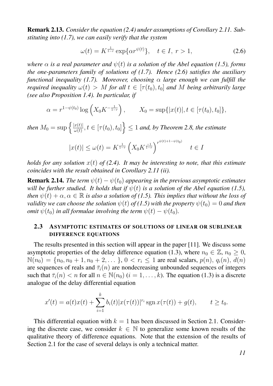Remark 2.13. *Consider the equation [\(2.4\)](#page-9-0) under assumptions of Corollary [2.11.](#page-9-1) Substituting into [\(1.7\)](#page-5-4), we can easily verify that the system*

<span id="page-10-1"></span>
$$
\omega(t) = K^{\frac{1}{1-r}} \exp\{\alpha r^{\psi(t)}\}, \quad t \in I, r > 1,
$$
\n(2.6)

*where*  $\alpha$  *is a real parameter and*  $\psi(t)$  *is a solution of the Abel equation [\(1.5\)](#page-5-1), forms the one-parameters family of solutions of [\(1.7\)](#page-5-4). Hence [\(2.6\)](#page-10-1) satisfies the auxiliary functional inequality [\(1.7\)](#page-5-4). Moreover, choosing*  $\alpha$  *large enough we can fulfill the required inequality*  $\omega(t) > M$  *for all*  $t \in [\tau(t_0), t_0]$  *and* M *being arbitrarily large (see also Proposition [1.4\)](#page-6-3). In particular, if*

$$
\alpha = r^{1-\psi(t_0)} \log \left( X_0 K^{-\frac{1}{1-r}} \right), \qquad X_0 = \sup \{ |x(t)|, t \in [\tau(t_0), t_0] \},
$$

*then*  $M_0 = \sup \left\{ \frac{|x(t)|}{\omega(t)} \right\}$  $\left\{\frac{x(t)}{\omega(t)}, t \in [\tau(t_0), t_0]\right\} \leq 1$  and, by Theorem [2.8,](#page-8-3) the estimate

$$
|x(t)| \le \omega(t) = K^{\frac{1}{1-r}} \left( X_0 K^{\frac{-1}{1-r}} \right)^{r^{\psi(t)+1-\psi(t_0)}} \quad t \in I
$$

*holds for any solution* x(t) *of [\(2.4\)](#page-9-0). It may be interesting to note, that this estimate coincides with the result obtained in Corollary [2.11](#page-9-1) (ii).*

**Remark 2.14.** *The term*  $\psi(t) - \psi(t_0)$  *appearing in the previous asymptotic estimates will be further studied. It holds that if*  $\psi(t)$  *is a solution of the Abel equation [\(1.5\)](#page-5-1), then*  $\psi(t) + \alpha, \alpha \in \mathbb{R}$  *is also a solution of [\(1.5\)](#page-5-1). This implies that without the loss of validity we can choose the solution*  $\psi(t)$  *of* [\(1.5\)](#page-5-1) with the property  $\psi(t_0) = 0$  *and then omit*  $\psi(t_0)$  *in all formulae involving the term*  $\psi(t) - \psi(t_0)$ *.* 

#### <span id="page-10-0"></span>2.3 ASYMPTOTIC ESTIMATES OF SOLUTIONS OF LINEAR OR SUBLINEAR DIFFERENCE EQUATIONS

The results presented in this section will appear in the paper [\[11\]](#page-20-7). We discuss some asymptotic properties of the delay difference equation [\(1.3\)](#page-4-4), where  $n_0 \in \mathbb{Z}$ ,  $n_0 \geq 0$ ,  $\mathbb{N}(n_0) = \{n_0, n_0 + 1, n_0 + 2, \dots\}$ ,  $0 < r_i \leq 1$  are real scalars,  $p(n)$ ,  $q_i(n)$ ,  $d(n)$ are sequences of reals and  $\bar{\tau}_i(n)$  are nondecreasing unbounded sequences of integers such that  $\bar{\tau}_i(n) < n$  for all  $n \in \mathbb{N}(n_0)$   $(i = 1, \ldots, k)$ . The equation [\(1.3\)](#page-4-4) is a discrete analogue of the delay differential equation

$$
x'(t) = a(t)x(t) + \sum_{i=1}^{k} b_i(t)|x(\tau(t))|^{r_i} \operatorname{sgn} x(\tau(t)) + g(t), \qquad t \ge t_0.
$$

This differential equation with  $k = 1$  has been discussed in Section [2.1.](#page-6-1) Considering the discrete case, we consider  $k \in \mathbb{N}$  to generalize some known results of the qualitative theory of difference equations. Note that the extension of the results of Section [2.1](#page-6-1) for the case of several delays is only a technical matter.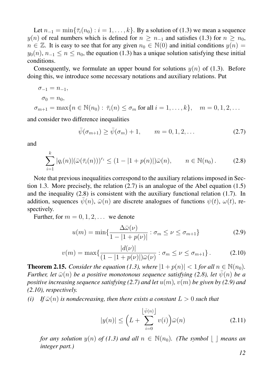Let  $n_{-1} = \min\{\overline{\tau}_i(n_0) : i = 1, \ldots, k\}$ . By a solution of [\(1.3\)](#page-4-4) we mean a sequence  $y(n)$  of real numbers which is defined for  $n \geq n_{-1}$  and satisfies [\(1.3\)](#page-4-4) for  $n \geq n_0$ ,  $n \in \mathbb{Z}$ . It is easy to see that for any given  $n_0 \in \mathbb{N}(0)$  and initial conditions  $y(n) =$  $y_0(n)$ ,  $n_{-1} \le n \le n_0$ , the equation [\(1.3\)](#page-4-4) has a unique solution satisfying these initial conditions.

Consequently, we formulate an upper bound for solutions  $y(n)$  of [\(1.3\)](#page-4-4). Before doing this, we introduce some necessary notations and auxiliary relations. Put

$$
\sigma_{-1} = n_{-1},
$$
  
\n
$$
\sigma_0 = n_0,
$$
  
\n
$$
\sigma_{m+1} = \max\{n \in \mathbb{N}(n_0) : \overline{\tau}_i(n) \le \sigma_m \text{ for all } i = 1, ..., k\}, \quad m = 0, 1, 2, ...
$$

and consider two difference inequalities

<span id="page-11-0"></span>
$$
\bar{\psi}(\sigma_{m+1}) \ge \bar{\psi}(\sigma_m) + 1, \qquad m = 0, 1, 2, ...
$$
\n(2.7)

and

<span id="page-11-1"></span>
$$
\sum_{i=1}^{k} |q_i(n)| (\bar{\omega}(\bar{\tau}_i(n)))^{r_i} \le (1 - |1 + p(n)|) \bar{\omega}(n), \qquad n \in \mathbb{N}(n_0).
$$
 (2.8)

Note that previous inequalities correspond to the auxiliary relations imposed in Section [1.3.](#page-4-1) More precisely, the relation [\(2.7\)](#page-11-0) is an analogue of the Abel equation [\(1.5\)](#page-5-1) and the inequality [\(2.8\)](#page-11-1) is consistent with the auxiliary functional relation [\(1.7\)](#page-5-4). In addition, sequences  $\bar{\psi}(n)$ ,  $\bar{\omega}(n)$  are discrete analogues of functions  $\psi(t)$ ,  $\omega(t)$ , respectively.

Further, for  $m = 0, 1, 2, \ldots$  we denote

<span id="page-11-2"></span>
$$
u(m) = \min\left\{\frac{\Delta\bar{\omega}(\nu)}{1 - |1 + p(\nu)|} : \sigma_m \le \nu \le \sigma_{m+1}\right\} \tag{2.9}
$$

<span id="page-11-3"></span>
$$
v(m) = \max\{\frac{|d(\nu)|}{(1 - |1 + p(\nu)|)\bar{\omega}(\nu)} : \sigma_m \le \nu \le \sigma_{m+1}\}.
$$
 (2.10)

<span id="page-11-4"></span>**Theorem 2.15.** *Consider the equation [\(1.3\)](#page-4-4), where*  $|1 + p(n)| < 1$  *for all*  $n \in \mathbb{N}(n_0)$ *. Further, let*  $\bar{\omega}(n)$  *be a positive monotonous sequence satisfying [\(2.8\)](#page-11-1), let*  $\bar{\psi}(n)$  *be a positive increasing sequence satisfying [\(2.7\)](#page-11-0)* and let  $u(m)$ ,  $v(m)$  be given by [\(2.9\)](#page-11-2) and *[\(2.10\)](#page-11-3), respectively.*

*(i)* If  $\bar{\omega}(n)$  *is nondecreasing, then there exists a constant*  $L > 0$  *such that* 

<span id="page-11-5"></span>
$$
|y(n)| \le \left(L + \sum_{i=0}^{\left\lfloor \bar{\psi}(n) \right\rfloor} v(i) \right) \bar{\omega}(n) \tag{2.11}
$$

*for any solution*  $y(n)$  *of [\(1.3\)](#page-4-4)* and all  $n \in \mathbb{N}(n_0)$ . (The symbol  $\vert \cdot \vert$  means an *integer part.)*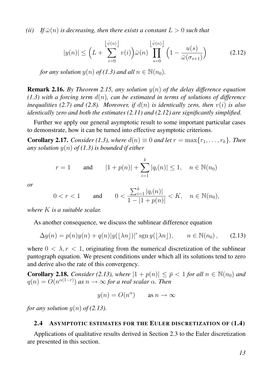*(ii) If*  $\bar{\omega}(n)$  *is decreasing, then there exists a constant*  $L > 0$  *such that* 

<span id="page-12-1"></span>
$$
|y(n)| \le \left(L + \sum_{i=0}^{\left\lfloor \bar{\psi}(n) \right\rfloor} v(i) \right) \bar{\omega}(n) \prod_{s=0}^{\left\lfloor \bar{\psi}(n) \right\rfloor} \left(1 - \frac{u(s)}{\bar{\omega}(\sigma_{s+1})} \right) \tag{2.12}
$$

*for any solution*  $y(n)$  *of*  $(1.3)$  *and all*  $n \in \mathbb{N}(n_0)$ *.* 

Remark 2.16. *By Theorem [2.15,](#page-11-4) any solution* y(n) *of the delay difference equation*  $(1.3)$  with a forcing term  $d(n)$ , can be estimated in terms of solutions of difference *inequalities [\(2.7\)](#page-11-0)* and [\(2.8\)](#page-11-1). Moreover, if  $d(n)$  is identically zero, then  $v(i)$  is also *identically zero and both the estimates [\(2.11\)](#page-11-5) and [\(2.12\)](#page-12-1) are significantly simplified.*

Further we apply our general asymptotic result to some important particular cases to demonstrate, how it can be turned into effective asymptotic criterions.

**Corollary 2.17.** *Consider* [\(1.3\)](#page-4-4), where  $d(n) \equiv 0$  and let  $r = \max\{r_1, \ldots, r_k\}$ . Then *any solution* y(n) *of [\(1.3\)](#page-4-4) is bounded if either*

$$
r = 1
$$
 and  $|1 + p(n)| + \sum_{i=1}^{k} |q_i(n)| \le 1, \quad n \in \mathbb{N}(n_0)$ 

*or*

$$
0 < r < 1 \qquad \text{and} \qquad 0 < \frac{\sum_{i=1}^{k} |q_i(n)|}{1 - |1 + p(n)|} < K, \quad n \in \mathbb{N}(n_0),
$$

*where* K *is a suitable scalar.*

As another consequence, we discuss the sublinear difference equation

<span id="page-12-2"></span>
$$
\Delta y(n) = p(n)y(n) + q(n)|y(\lfloor \lambda n \rfloor)|^r \operatorname{sgn} y(\lfloor \lambda n \rfloor), \qquad n \in \mathbb{N}(n_0), \qquad (2.13)
$$

where  $0 < \lambda, r < 1$ , originating from the numerical discretization of the sublinear pantograph equation. We present conditions under which all its solutions tend to zero and derive also the rate of this convergency.

**Corollary 2.18.** *Consider* [\(2.13\)](#page-12-2)*, where*  $|1 + p(n)| \leq \bar{p} < 1$  *for all*  $n \in \mathbb{N}(n_0)$  *and*  $q(n) = O(n^{\alpha(1-r)})$  as  $n \to \infty$  for a real scalar  $\alpha$ *. Then* 

$$
y(n) = O(n^{\alpha}) \qquad \text{as } n \to \infty
$$

*for any solution*  $y(n)$  *of* [\(2.13\)](#page-12-2).

#### <span id="page-12-0"></span>2.4 ASYMPTOTIC ESTIMATES FOR THE EULER DISCRETIZATION OF [\(1.4\)](#page-5-0)

Applications of qualitative results derived in Section [2.3](#page-10-0) to the Euler discretization are presented in this section.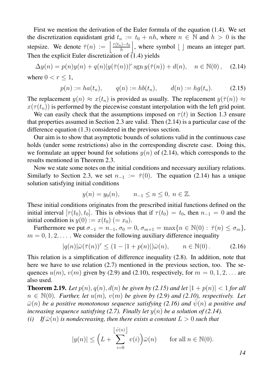First we mention the derivation of the Euler formula of the equation [\(1.4\)](#page-5-0). We set the discretization equidistant grid  $t_n := t_0 + nh$ , where  $n \in \mathbb{N}$  and  $h > 0$  is the stepsize. We denote  $\overline{\tau}(n) := \left| \frac{\tau(t_n) - t_0}{h} \right|$ h  $\vert$ , where symbol  $\vert$   $\vert$  means an integer part. Then the explicit Euler discretization of  $(1.4)$  yields

<span id="page-13-0"></span>
$$
\Delta y(n) = p(n)y(n) + q(n)|y(\bar{\tau}(n))|^{r} \operatorname{sgn} y(\bar{\tau}(n)) + d(n), \quad n \in \mathbb{N}(0), \quad (2.14)
$$
  
where  $0 < r \le 1$ ,

<span id="page-13-1"></span>
$$
p(n) := ha(t_n),
$$
  $q(n) := hb(t_n),$   $d(n) := hg(t_n).$  (2.15)

The replacement  $y(n) \approx x(t_n)$  is provided as usually. The replacement  $y(\bar{\tau}(n)) \approx$  $x(\tau(t_n))$  is performed by the piecewise constant interpolation with the left grid point.

We can easily check that the assumptions imposed on  $\tau(t)$  in Section [1.3](#page-4-1) ensure that properties assumed in Section [2.3](#page-10-0) are valid. Then [\(2.14\)](#page-13-0) is a particular case of the difference equation [\(1.3\)](#page-4-4) considered in the previous section.

Our aim is to show that asymptotic bounds of solutions valid in the continuous case holds (under some restrictions) also in the corresponding discrete case. Doing this, we formulate an upper bound for solutions  $y(n)$  of [\(2.14\)](#page-13-0), which corresponds to the results mentioned in Theorem [2.3.](#page-6-2)

Now we state some notes on the initial conditions and necessary auxiliary relations. Similarly to Section [2.3,](#page-10-0) we set  $n_{-1} := \overline{\tau}(0)$ . The equation [\(2.14\)](#page-13-0) has a unique solution satisfying initial conditions

$$
y(n) = y_0(n),
$$
  $n_{-1} \le n \le 0, n \in \mathbb{Z}.$ 

These initial conditions originates from the prescribed initial functions defined on the initial interval  $[\tau(t_0), t_0]$ . This is obvious that if  $\tau(t_0) = t_0$ , then  $n_{-1} = 0$  and the initial condition is  $y(0) := x(t_0) (= x_0)$ .

Furthermore we put  $\sigma_{-1} = n_{-1}$ ,  $\sigma_0 = 0$ ,  $\sigma_{m+1} = \max\{n \in \mathbb{N}(0) : \overline{\tau}(n) \leq \sigma_m\},\$  $m = 0, 1, 2, \ldots$ . We consider the following auxiliary difference inequality

<span id="page-13-2"></span>
$$
|q(n)|\bar{\omega}(\bar{\tau}(n))^r \le (1-|1+p(n)|)\bar{\omega}(n), \qquad n \in \mathbb{N}(0).
$$
 (2.16)

This relation is a simplification of difference inequality [\(2.8\)](#page-11-1). In addition, note that here we have to use relation [\(2.7\)](#page-11-0) mentioned in the previous section, too. The sequences  $u(m)$ ,  $v(m)$  given by [\(2.9\)](#page-11-2) and [\(2.10\)](#page-11-3), respectively, for  $m = 0, 1, 2, \ldots$  are also used.

<span id="page-13-3"></span>**Theorem 2.19.** Let  $p(n)$ ,  $q(n)$ ,  $d(n)$  be given by [\(2.15\)](#page-13-1) and let  $|1 + p(n)| < 1$  for all  $n \in \mathbb{N}(0)$ *. Further, let*  $u(m)$ *,*  $v(m)$  *be given by [\(2.9\)](#page-11-2)* and [\(2.10\)](#page-11-3)*, respectively. Let*  $\bar{\omega}(n)$  *be a positive monotonous sequence satisfying [\(2.16\)](#page-13-2)* and  $\psi(n)$  *a positive and increasing sequence satisfying [\(2.7\)](#page-11-0). Finally let*  $y(n)$  *be a solution of [\(2.14\)](#page-13-0).* 

*(i)* If  $\bar{\omega}(n)$  *is nondecreasing, then there exists a constant*  $L > 0$  *such that* 

$$
|y(n)| \le \left(L + \sum_{i=0}^{\left\lfloor \bar{\psi}(n) \right\rfloor} v(i) \right) \bar{\omega}(n) \quad \text{for all } n \in \mathbb{N}(0).
$$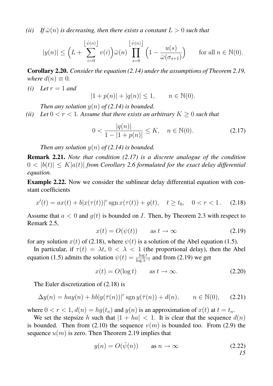*(ii) If*  $\bar{\omega}(n)$  *is decreasing, then there exists a constant*  $L > 0$  *such that* 

$$
|y(n)| \leq \left(L + \sum_{i=0}^{\left\lfloor \bar{\psi}(n) \right\rfloor} v(i) \right) \bar{\omega}(n) \prod_{s=0}^{\left\lfloor \bar{\psi}(n) \right\rfloor} \left(1 - \frac{u(s)}{\bar{\omega}(\sigma_{s+1})} \right) \quad \text{for all } n \in \mathbb{N}(0).
$$

Corollary 2.20. *Consider the equation [\(2.14\)](#page-13-0) under the assumptions of Theorem [2.19,](#page-13-3) where*  $d(n) \equiv 0$ *.* 

 $(i)$  *Let*  $r = 1$  *and* 

$$
|1 + p(n)| + |q(n)| \le 1, \qquad n \in \mathbb{N}(0).
$$

*Then any solution*  $y(n)$  *of* [\(2.14\)](#page-13-0) *is bounded.* 

*(ii)* Let  $0 < r < 1$ . Assume that there exists an arbitrary  $K > 0$  such that

<span id="page-14-0"></span>
$$
0 < \frac{|q(n)|}{1 - |1 + p(n)|} \le K, \quad n \in \mathbb{N}(0). \tag{2.17}
$$

*Then any solution*  $y(n)$  *of* [\(2.14\)](#page-13-0) *is bounded.* 

Remark 2.21. *Note that condition [\(2.17\)](#page-14-0) is a discrete analogue of the condition*  $0 < |b(t)| < K|a(t)|$  *from Corollary [2.6](#page-7-1) formulated for the exact delay differential equation.*

Example 2.22. Now we consider the sublinear delay differential equation with constant coefficients

<span id="page-14-1"></span>
$$
x'(t) = ax(t) + b|x(\tau(t))|^{r} \operatorname{sgn} x(\tau(t)) + g(t), \quad t \ge t_0, \quad 0 < r < 1. \tag{2.18}
$$

Assume that  $a < 0$  and  $q(t)$  is bounded on I. Then, by Theorem [2.3](#page-6-2) with respect to Remark [2.5,](#page-7-2)

<span id="page-14-2"></span>
$$
x(t) = O(\psi(t)) \qquad \text{as } t \to \infty \tag{2.19}
$$

for any solution  $x(t)$  of [\(2.18\)](#page-14-1), where  $\psi(t)$  is a solution of the Abel equation [\(1.5\)](#page-5-1).

In particular, if  $\tau(t) = \lambda t$ ,  $0 < \lambda < 1$  (the proportional delay), then the Abel equation [\(1.5\)](#page-5-1) admits the solution  $\psi(t) = \frac{\log t}{\log \lambda^{-1}}$  and from [\(2.19\)](#page-14-2) we get

<span id="page-14-5"></span>
$$
x(t) = O(\log t) \qquad \text{as } t \to \infty. \tag{2.20}
$$

The Euler discretization of [\(2.18\)](#page-14-1) is

<span id="page-14-3"></span>
$$
\Delta y(n) = hay(n) + hb|y(\bar{\tau}(n))|^{r} \operatorname{sgn} y(\bar{\tau}(n)) + d(n), \qquad n \in \mathbb{N}(0), \tag{2.21}
$$

where  $0 < r < 1$ ,  $d(n) = hg(t_n)$  and  $y(n)$  is an approximation of  $x(t)$  at  $t = t_n$ .

We set the stepsize h such that  $|1 + ha| < 1$ . It is clear that the sequence  $d(n)$ is bounded. Then from [\(2.10\)](#page-11-3) the sequence  $v(m)$  is bounded too. From [\(2.9\)](#page-11-2) the sequence  $u(m)$  is zero. Then Theorem [2.19](#page-13-3) implies that

<span id="page-14-4"></span>
$$
y(n) = O(\bar{\psi}(n)) \qquad \text{as } n \to \infty \tag{2.22}
$$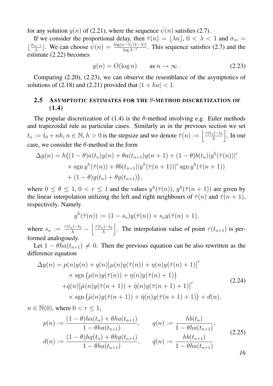for any solution  $y(n)$  of [\(2.21\)](#page-14-3), where the sequence  $\bar{\psi}(n)$  satisfies [\(2.7\)](#page-11-0).

If we consider the proportional delay, then  $\overline{\tau}(n) = |\lambda n|$ ,  $0 < \lambda < 1$  and  $\sigma_m =$  $\frac{\sigma_{m-1}}{\lambda}$  $\frac{\lambda^{n-1}}{\lambda}$ . We can choose  $\bar{\psi}(n) = \frac{\log(n-\lambda/(1-\lambda))}{\log \lambda^{-1}}$ . This sequence satisfies [\(2.7\)](#page-11-0) and the estimate [\(2.22\)](#page-14-4) becomes

<span id="page-15-1"></span>
$$
y(n) = O(\log n) \qquad \text{as } n \to \infty. \tag{2.23}
$$

Comparing [\(2.20\)](#page-14-5), [\(2.23\)](#page-15-1), we can observe the resemblance of the asymptotics of solutions of [\(2.18\)](#page-14-1) and [\(2.21\)](#page-14-3) provided that  $|1 + ha| < 1$ .

### <span id="page-15-0"></span>2.5 ASYMPTOTIC ESTIMATES FOR THE  $\theta$ -METHOD DISCRETIZATION OF  $(1.4)$

The popular discretization of [\(1.4\)](#page-5-0) is the  $\theta$ -method involving e.g. Euler methods and trapezoidal rule as particular cases. Similarly as in the previous section we set  $t_n := t_0 + nh$ ,  $n \in \mathbb{N}$ ,  $h > 0$  is the stepsize and we denote  $\overline{\tau}(n) := \left| \frac{\tau(t_n) - t_0}{h} \right|$ h  $\vert$ . In our case, we consider the  $\theta$ -method in the form

$$
\Delta y(n) = h\big((1 - \theta)a(t_n)y(n) + \theta a(t_{n+1})y(n+1) + (1 - \theta)b(t_n)|y^h(\bar{\tau}(n))|^r
$$
  
× sgn  $y^h(\bar{\tau}(n)) + \theta b(t_{n+1})|y^h(\bar{\tau}(n+1))|^r$  sgn  $y^h(\bar{\tau}(n+1))$   
+  $(1 - \theta)g(t_n) + \theta g(t_{n+1})$ ,

where  $0 \le \theta \le 1$ ,  $0 < r \le 1$  and the values  $y^h(\overline{\tau}(n))$ ,  $y^h(\overline{\tau}(n+1))$  are given by the linear interpolation utilizing the left and right neighbours of  $\bar{\tau}(n)$  and  $\bar{\tau}(n+1)$ , respectively. Namely

$$
y^{h}(\bar{\tau}(n)) := (1 - s_n)y(\bar{\tau}(n)) + s_n y(\bar{\tau}(n) + 1),
$$

where  $s_n := \frac{\tau(t_n) - t_0}{h} - \left| \frac{\tau(t_n) - t_0}{h} \right|$ h . The interpolation value of point  $\tau(t_{n+1})$  is performed analogously.

Let  $1 - \theta ha(t_{n+1}) \neq 0$ . Then the previous equation can be also rewritten as the difference equation

<span id="page-15-3"></span>
$$
\Delta y(n) = p(n)y(n) + q(n)|\mu(n)y(\bar{\tau}(n)) + \eta(n)y(\bar{\tau}(n)) + 1)|^r
$$
  
\n
$$
\times \operatorname{sgn} (\mu(n)y(\bar{\tau}(n)) + \eta(n)y(\bar{\tau}(n)) + 1))
$$
  
\n
$$
+ \hat{q}(n)|\hat{\mu}(n)y(\bar{\tau}(n+1)) + \hat{\eta}(n)y(\bar{\tau}(n+1)) + 1)|^r
$$
  
\n
$$
\times \operatorname{sgn} (\hat{\mu}(n)y(\bar{\tau}(n+1)) + \hat{\eta}(n)y(\bar{\tau}(n+1)) + 1)) + d(n),
$$
\n(2.24)

 $n \in \mathbb{N}(0)$ , where  $0 < r \leq 1$ ,

<span id="page-15-2"></span>
$$
p(n) := \frac{(1 - \theta)ha(t_n) + \theta ha(t_{n+1})}{1 - \theta ha(t_{n+1})}, \qquad q(n) := \frac{hb(t_n)}{1 - \theta ha(t_{n+1})},
$$
  
\n
$$
d(n) := \frac{(1 - \theta)hg(t_n) + \theta hg(t_{n+1})}{1 - \theta ha(t_{n+1})}, \qquad \hat{q}(n) := \frac{hb(t_{n+1})}{1 - \theta ha(t_{n+1})}
$$
\n(2.25)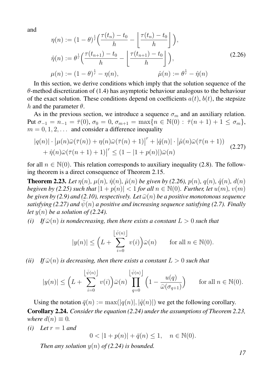and

<span id="page-16-0"></span>
$$
\eta(n) := (1 - \theta)^{\frac{1}{r}} \left( \frac{\tau(t_n) - t_0}{h} - \left\lfloor \frac{\tau(t_n) - t_0}{h} \right\rfloor \right),
$$
  

$$
\hat{\eta}(n) := \theta^{\frac{1}{r}} \left( \frac{\tau(t_{n+1}) - t_0}{h} - \left\lfloor \frac{\tau(t_{n+1}) - t_0}{h} \right\rfloor \right),
$$
  

$$
\mu(n) := (1 - \theta)^{\frac{1}{r}} - \eta(n),
$$
  

$$
\hat{\mu}(n) := \theta^{\frac{1}{r}} - \hat{\eta}(n)
$$
  

$$
(2.26)
$$

In this section, we derive conditions which imply that the solution sequence of the  $\theta$ -method discretization of [\(1.4\)](#page-5-0) has asymptotic behaviour analogous to the behaviour of the exact solution. These conditions depend on coefficients  $a(t)$ ,  $b(t)$ , the stepsize h and the parameter  $\theta$ .

As in the previous section, we introduce a sequence  $\sigma_m$  and an auxiliary relation. Put  $\sigma_{-1} = n_{-1} = \overline{\tau}(0), \sigma_0 = 0, \sigma_{m+1} = \max\{n \in \mathbb{N}(0) : \overline{\tau}(n+1) + 1 \leq \sigma_m\},\$  $m = 0, 1, 2, \ldots$  and consider a difference inequality

<span id="page-16-1"></span>
$$
|q(n)| \cdot \left| \mu(n)\bar{\omega}(\bar{\tau}(n)) + \eta(n)\bar{\omega}(\bar{\tau}(n) + 1) \right|^r + |\hat{q}(n)| \cdot \left| \hat{\mu}(n)\bar{\omega}(\bar{\tau}(n+1)) \right|
$$
  
+  $\hat{\eta}(n)\bar{\omega}(\bar{\tau}(n+1) + 1) \big|^r \leq (1 - |1 + p(n)|)\bar{\omega}(n)$  (2.27)

for all  $n \in \mathbb{N}(0)$ . This relation corresponds to auxiliary inequality [\(2.8\)](#page-11-1). The following theorem is a direct consequence of Theorem [2.15.](#page-11-4)

<span id="page-16-2"></span>**Theorem 2.23.** Let  $\eta(n)$ ,  $\mu(n)$ ,  $\hat{\eta}(n)$ ,  $\hat{\mu}(n)$  be given by [\(2.26\)](#page-16-0),  $p(n)$ ,  $q(n)$ ,  $\hat{q}(n)$ ,  $d(n)$ *begiven by* [\(2.25\)](#page-15-2) *such that*  $|1 + p(n)| < 1$  *for all*  $n \in \mathbb{N}(0)$ *. Further, let*  $u(m)$ *,*  $v(m)$ *be given by [\(2.9\)](#page-11-2)* and [\(2.10\)](#page-11-3), respectively. Let  $\bar{\omega}(n)$  *be a positive monotonous sequence satisfying [\(2.27\)](#page-16-1)* and  $\psi(n)$  *a positive and increasing sequence satisfying [\(2.7\)](#page-11-0). Finally let*  $y(n)$  *be a solution of [\(2.24\)](#page-15-3).* 

*(i)* If  $\bar{\omega}(n)$  *is nondecreasing, then there exists a constant*  $L > 0$  *such that* 

$$
|y(n)| \le \left(L + \sum_{i=0}^{\left\lfloor \bar{\psi}(n) \right\rfloor} v(i) \right) \bar{\omega}(n) \quad \text{for all } n \in \mathbb{N}(0).
$$

*(ii)* If  $\bar{\omega}(n)$  *is decreasing, then there exists a constant*  $L > 0$  *such that* 

$$
|y(n)| \leq \left(L + \sum_{i=0}^{\left\lfloor \bar{\psi}(n) \right\rfloor} v(i) \right) \bar{\omega}(n) \prod_{q=0}^{\left\lfloor \bar{\psi}(n) \right\rfloor} \left(1 - \frac{u(q)}{\bar{\omega}(\sigma_{q+1})} \right) \quad \text{for all } n \in \mathbb{N}(0).
$$

<span id="page-16-3"></span>Using the notation  $\bar{q}(n) := \max(|q(n)|, |\hat{q}(n)|)$  we get the following corollary. Corollary 2.24. *Consider the equation [\(2.24\)](#page-15-3) under the assumptions of Theorem [2.23,](#page-16-2) where*  $d(n) \equiv 0$ *.* 

*(i) Let*  $r = 1$  *and* 

 $0 < |1 + p(n)| + \bar{q}(n) \le 1, \quad n \in \mathbb{N}(0).$ 

*Then any solution*  $y(n)$  *of* [\(2.24\)](#page-15-3) *is bounded.*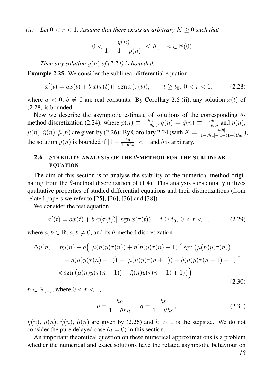*(ii)* Let  $0 < r < 1$ . Assume that there exists an arbitrary  $K \geq 0$  such that

$$
0 < \frac{\bar{q}(n)}{1 - |1 + p(n)|} \le K, \quad n \in \mathbb{N}(0).
$$

*Then any solution*  $y(n)$  *of* [\(2.24\)](#page-15-3) *is bounded.* 

<span id="page-17-4"></span>Example 2.25. We consider the sublinear differential equation

<span id="page-17-1"></span>
$$
x'(t) = ax(t) + b|x(\tau(t))|^{r} \operatorname{sgn} x(\tau(t)), \qquad t \ge t_0, \ 0 < r < 1,\tag{2.28}
$$

where  $a < 0, b \neq 0$  are real constants. By Corollary [2.6](#page-7-1) (ii), any solution  $x(t)$  of [\(2.28\)](#page-17-1) is bounded.

Now we describe the asymptotic estimate of solutions of the corresponding  $\theta$ -method discretization [\(2.24\)](#page-15-3), where  $p(n) \equiv \frac{ha}{1-\theta ha}$ ,  $q(n) = \hat{q}(n) \equiv \frac{hb}{1-\theta ha}$  and  $\eta(n)$ ,  $\mu(n), \hat{\eta}(n), \hat{\mu}(n)$  are given by [\(2.26\)](#page-16-0). By Corollary [2.24](#page-16-3) (with  $K = \frac{h|b|}{|1-\theta ba| - |1+\theta|}$  $\frac{h|0|}{|1-\theta ha| - |1+(1-\theta)ha|},$ the solution  $y(n)$  is bounded if  $|1 + \frac{ha}{1-\theta ha}| < 1$  and b is arbitrary.

#### <span id="page-17-0"></span>2.6 STABILITY ANALYSIS OF THE  $\theta$ -METHOD FOR THE SUBLINEAR EQUATION

The aim of this section is to analyse the stability of the numerical method originating from the  $\theta$ -method discretization of [\(1.4\)](#page-5-0). This analysis substantially utilizes qualitative properties of studied differential equations and their discretizations (from related papers we refer to  $[25]$ ,  $[26]$ ,  $[36]$  and  $[38]$ ).

We consider the test equation

<span id="page-17-2"></span>
$$
x'(t) = ax(t) + b|x(\tau(t))|^{r} \operatorname{sgn} x(\tau(t)), \quad t \ge t_0, \ 0 < r < 1,\tag{2.29}
$$

where  $a, b \in \mathbb{R}$ ,  $a, b \neq 0$ , and its  $\theta$ -method discretization

<span id="page-17-3"></span>
$$
\Delta y(n) = py(n) + q\Big(\big|\mu(n)y(\overline{\tau}(n)) + \eta(n)y(\overline{\tau}(n) + 1)\big|^r \operatorname{sgn}\big(\mu(n)y(\overline{\tau}(n)) + \eta(n)y(\overline{\tau}(n) + 1)\big) + \big|\hat{\mu}(n)y(\overline{\tau}(n+1)) + \hat{\eta}(n)y(\overline{\tau}(n+1) + 1)\big|^r
$$
  
 
$$
\times \operatorname{sgn}\big(\hat{\mu}(n)y(\overline{\tau}(n+1)) + \hat{\eta}(n)y(\overline{\tau}(n+1) + 1)\big)\Big), \tag{2.30}
$$

 $n \in \mathbb{N}(0)$ , where  $0 < r < 1$ ,

<span id="page-17-5"></span>
$$
p = \frac{ha}{1 - \theta ha}, \quad q = \frac{hb}{1 - \theta ha}, \tag{2.31}
$$

 $\eta(n)$ ,  $\mu(n)$ ,  $\hat{\eta}(n)$ ,  $\hat{\mu}(n)$  are given by [\(2.26\)](#page-16-0) and  $h > 0$  is the stepsize. We do not consider the pure delayed case  $(a = 0)$  in this section.

An important theoretical question on these numerical approximations is a problem whether the numerical and exact solutions have the related asymptotic behaviour on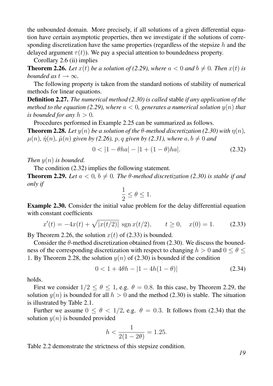the unbounded domain. More precisely, if all solutions of a given differential equation have certain asymptotic properties, then we investigate if the solutions of corresponding discretization have the same properties (regardless of the stepsize  $h$  and the delayed argument  $\tau(t)$ ). We pay a special attention to boundedness property.

Corollary [2.6](#page-7-1) (ii) implies

<span id="page-18-1"></span>**Theorem 2.26.** Let  $x(t)$  be a solution of [\(2.29\)](#page-17-2), where  $a < 0$  and  $b \neq 0$ . Then  $x(t)$  is *bounded as*  $t \to \infty$ *.* 

The following property is taken from the standard notions of stability of numerical methods for linear equations.

Definition 2.27. *The numerical method [\(2.30\)](#page-17-3) is called* stable *if any application of the method to the equation [\(2.29\)](#page-17-2), where*  $a < 0$ *, generates a numerical solution*  $y(n)$  *that is bounded for any*  $h > 0$ .

Procedures performed in Example [2.25](#page-17-4) can be summarized as follows.

<span id="page-18-3"></span>**Theorem 2.28.** Let  $y(n)$  be a solution of the  $\theta$ -method discretization [\(2.30\)](#page-17-3) with  $\eta(n)$ ,  $\mu(n)$ ,  $\hat{\eta}(n)$ ,  $\hat{\mu}(n)$  given by [\(2.26\)](#page-16-0), p, q given by [\(2.31\)](#page-17-5), where  $a, b \neq 0$  and

<span id="page-18-0"></span>
$$
0 < |1 - \theta h a| - |1 + (1 - \theta) h a|.\tag{2.32}
$$

*Then* y(n) *is bounded.*

The condition [\(2.32\)](#page-18-0) implies the following statement.

<span id="page-18-4"></span>**Theorem 2.29.** Let  $a < 0$ ,  $b \neq 0$ . The  $\theta$ -method discretization [\(2.30\)](#page-17-3) is stable if and *only if*

$$
\frac{1}{2} \le \theta \le 1.
$$

Example 2.30. Consider the initial value problem for the delay differential equation with constant coefficients

<span id="page-18-2"></span>
$$
x'(t) = -4x(t) + \sqrt{|x(t/2)|} \operatorname{sgn} x(t/2), \qquad t \ge 0, \quad x(0) = 1. \tag{2.33}
$$

By Theorem [2.26,](#page-18-1) the solution  $x(t)$  of [\(2.33\)](#page-18-2) is bounded.

Consider the  $\theta$ -method discretization obtained from [\(2.30\)](#page-17-3). We discuss the bounedness of the corresponding discretization with respect to changing  $h > 0$  and  $0 \le \theta \le$ 1. By Theorem [2.28,](#page-18-3) the solution  $y(n)$  of [\(2.30\)](#page-17-3) is bounded if the condition

<span id="page-18-5"></span>
$$
0 < 1 + 4\theta h - |1 - 4h(1 - \theta)| \tag{2.34}
$$

holds.

First we consider  $1/2 \le \theta \le 1$ , e.g.  $\theta = 0.8$ . In this case, by Theorem [2.29,](#page-18-4) the solution  $y(n)$  is bounded for all  $h > 0$  and the method [\(2.30\)](#page-17-3) is stable. The situation is illustrated by Table [2.1.](#page-19-1)

Further we assume  $0 \le \theta \le 1/2$ , e.g.  $\theta = 0.3$ . It follows from [\(2.34\)](#page-18-5) that the solution  $y(n)$  is bounded provided

$$
h < \frac{1}{2(1 - 2\theta)} = 1.25.
$$

Table [2.2](#page-19-2) demonstrate the strictness of this stepsize condition.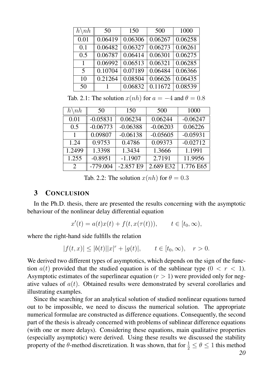| $h\backslash nh$ | 50      | 150     | 500                  | 1000    |
|------------------|---------|---------|----------------------|---------|
| 0.01             | 0.06419 | 0.06306 | 0.06267              | 0.06258 |
| 0.1              | 0.06482 | 0.06327 | $\overline{0.06273}$ | 0.06261 |
| 0.5              | 0.06787 | 0.06414 | 0.06301              | 0.06275 |
| $\mathbf{1}$     | 0.06992 | 0.06513 | 0.06321              | 0.06285 |
| 5                | 0.10704 | 0.07189 | 0.06484              | 0.06366 |
| 10               | 0.21264 | 0.08504 | 0.06626              | 0.06435 |
| 50               |         | 0.06832 | 0.11672              | 0.08539 |

<span id="page-19-1"></span>Tab. 2.1: The solution  $x(nh)$  for  $a = -4$  and  $\theta = 0.8$ 

| $h\backslash nh$ | 50         | 150        | 500        | 1000       |
|------------------|------------|------------|------------|------------|
| 0.01             | $-0.05831$ | 0.06234    | 0.06244    | $-0.06247$ |
| 0.5              | $-0.06773$ | $-0.06388$ | $-0.06203$ | 0.06226    |
| $\mathbf{1}$     | 0.09807    | $-0.06138$ | $-0.05605$ | $-0.05931$ |
| 1.24             | 0.9753     | 0.4786     | 0.09373    | $-0.02712$ |
| 1.2499           | 1.3398     | 1.3434     | 1.3666     | 1.1991     |
| 1.255            | $-0.8951$  | $-1.1907$  | 2.7191     | 11.9956    |
| 2                | $-779.004$ | $-2.857E9$ | 2.689 E32  | 1.776 E65  |

<span id="page-19-2"></span>Tab. 2.2: The solution  $x(nh)$  for  $\theta = 0.3$ 

### <span id="page-19-0"></span>3 CONCLUSION

In the Ph.D. thesis, there are presented the results concerning with the asymptotic behaviour of the nonlinear delay differential equation

$$
x'(t) = a(t)x(t) + f(t, x(\tau(t))), \qquad t \in [t_0, \infty),
$$

where the right-hand side fulfills the relation

$$
|f(t,x)| \le |b(t)| |x|^r + |g(t)|, \qquad t \in [t_0, \infty), \quad r > 0.
$$

We derived two different types of asymptotics, which depends on the sign of the function  $a(t)$  provided that the studied equation is of the sublinear type  $(0 < r < 1)$ . Asymptotic estimates of the superlinear equation  $(r > 1)$  were provided only for negative values of  $a(t)$ . Obtained results were demonstrated by several corollaries and illustrating examples.

Since the searching for an analytical solution of studied nonlinear equations turned out to be impossible, we need to discuss the numerical solution. The appropriate numerical formulae are constructed as difference equations. Consequently, the second part of the thesis is already concerned with problems of sublinear difference equations (with one or more delays). Considering these equations, main qualitative properties (especially asymptotic) were derived. Using these results we discussed the stability property of the  $\theta$ -method discretization. It was shown, that for  $\frac{1}{2} \le \theta \le 1$  this method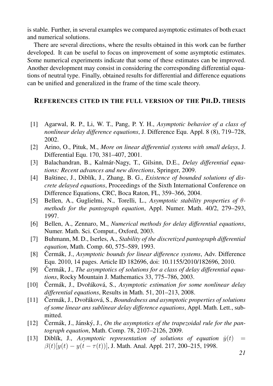is stable. Further, in several examples we compared asymptotic estimates of both exact and numerical solutions.

There are several directions, where the results obtained in this work can be further developed. It can be useful to focus on improvement of some asymptotic estimates. Some numerical experiments indicate that some of these estimates can be improved. Another development may consist in considering the corresponding differential equations of neutral type. Finally, obtained results for differential and difference equations can be unified and generalized in the frame of the time scale theory.

#### <span id="page-20-0"></span>REFERENCES CITED IN THE FULL VERSION OF THE PH.D. THESIS

- [1] Agarwal, R. P., Li, W. T., Pang, P. Y. H., *Asymptotic behavior of a class of nonlinear delay difference equations*, J. Difference Equ. Appl. 8 (8), 719–728, 2002.
- [2] Arino, O., Pituk, M., *More on linear differential systems with small delays*, J. Differential Equ. 170, 381–407, 2001.
- <span id="page-20-1"></span>[3] Balachandran, B., Kalmar-Nagy, T., Gilsinn, D.E., ´ *Delay differential equations: Recent advances and new directions*, Springer, 2009.
- [4] Baštinec, J., Diblík, J., Zhang, B. G., *Existence of bounded solutions of discrete delayed equations*, Proceedings of the Sixth International Conference on Difference Equations, CRC, Boca Raton, FL, 359–366, 2004.
- <span id="page-20-4"></span>[5] Bellen, A., Guglielmi, N., Torelli, L., *Asymptotic stability properties of* θ*methods for the pantograph equation*, Appl. Numer. Math. 40/2, 279–293, 1997.
- <span id="page-20-2"></span>[6] Bellen, A., Zennaro, M., *Numerical methods for delay differential equations*, Numer. Math. Sci. Comput., Oxford, 2003.
- <span id="page-20-3"></span>[7] Buhmann, M. D., Iserles, A., *Stability of the discretized pantograph differential equation*, Math. Comp. 60, 575–589, 1993.
- [8] Cermák, J., *Asymptotic bounds for linear difference systems*, Adv. Difference Equ. 2010, 14 pages. Article ID 182696, doi: 10.1155/2010/182696, 2010.
- [9] Cermák, J., *The asymptotics of solutions for a class of delay differential equations*, Rocky Mountain J. Mathematics 33, 775–786, 2003.
- <span id="page-20-6"></span>[10] Čermák, J., Dvořáková, S., *Asymptotic estimation for some nonlinear delay differential equations*, Results in Math. 51, 201–213, 2008.
- <span id="page-20-7"></span>[11] Cermák, J., Dvořáková, S., *Boundedness and asymptotic properties of solutions of some linear ans sublinear delay difference equations*, Appl. Math. Lett., submitted.
- <span id="page-20-5"></span>[12] Čermák, J., Jánský, J., *On the asymptotics of the trapezoidal rule for the pantograph equation*, Math. Comp. 78, 2107–2126, 2009.
- [13] Diblik, J., *Asymptotic representation of solutions of equation*  $\dot{y}(t)$  =  $\beta(t)[y(t) - y(t - \tau(t))]$ , J. Math. Anal. Appl. 217, 200–215, 1998.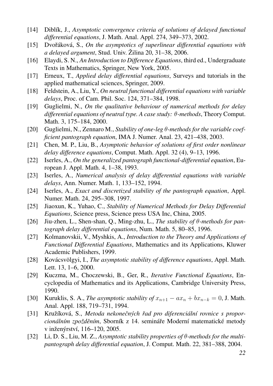- [14] Diblík, J., *Asymptotic convergence criteria of solutions of delayed functional differential equations*, J. Math. Anal. Appl. 274, 349–373, 2002.
- <span id="page-21-10"></span>[15] Dvořáková, S., *On the asymptotics of superlinear differential equations with*  $a$  *delayed argument*, Stud. Univ.  $\check{Z}$ ilina 20, 31–38, 2006.
- [16] Elaydi, S. N., *An Introduction to Difference Equations*, third ed., Undergraduate Texts in Mathematics, Springer, New York, 2005.
- <span id="page-21-0"></span>[17] Erneux, T., *Applied delay differential equations*, Surveys and tutorials in the applied mathematical sciences, Springer, 2009.
- <span id="page-21-8"></span>[18] Feldstein, A., Liu, Y., *On neutral functional differential equations with variable delays*, Proc. of Cam. Phil. Soc. 124, 371–384, 1998.
- <span id="page-21-4"></span>[19] Guglielmi, N., *On the qualitative behaviour of numerical methods for delay differential equations of neutral type. A case study:* θ*-methods*, Theory Comput. Math. 3, 175–184, 2000.
- <span id="page-21-5"></span>[20] Guglielmi, N., Zennaro M., *Stability of one-leg* θ*-methods for the variable coefficient pantograph equation*, IMA J. Numer. Anal. 23, 421–438, 2003.
- [21] Chen, M. P., Liu, B., *Asymptotic behavior of solutions of first order nonlinear delay difference equations*, Comput. Math. Appl. 32 (4), 9–13, 1996.
- [22] Iserles, A., *On the generalized pantograph functional-differential equation*, European J. Appl. Math. 4, 1–38, 1993.
- <span id="page-21-2"></span>[23] Iserles, A., *Numerical analysis of delay differential equations with variable delays*, Ann. Numer. Math. 1, 133–152, 1994.
- <span id="page-21-3"></span>[24] Iserles, A., *Exact and discretized stability of the pantograph equation*, Appl. Numer. Math. 24, 295–308, 1997.
- <span id="page-21-11"></span>[25] Jiaoxun, K., Yuhao, C., *Stability of Numerical Methods for Delay Differential Equations*, Science press, Science press USA Inc, China, 2005.
- <span id="page-21-12"></span>[26] Jiu-zhen, L., Shen-shan, Q., Ming-zhu, L., *The stability of* θ*-methods for pantograph delay differential equations*, Num. Math. 5, 80–85, 1996.
- <span id="page-21-1"></span>[27] Kolmanovskii, V., Myshkis, A., *Introduction to the Theory and Applications of Functional Differential Equations*, Mathematics and its Applications, Kluwer Academic Publishers, 1999.
- [28] Kovácsvölgyi, I., *The asymptotic stability of difference equations*, Appl. Math. Lett. 13, 1–6, 2000.
- <span id="page-21-9"></span>[29] Kuczma, M., Choczewski, B., Ger, R., *Iterative Functional Equations*, Encyclopedia of Mathematics and its Applications, Cambridge University Press, 1990.
- [30] Kuruklis, S. A., *The asymptotic stability of*  $x_{n+1} ax_n + bx_{n-k} = 0$ , J. Math. Anal. Appl. 188, 719–731, 1994.
- <span id="page-21-7"></span>[31] Kružíková, S., Metoda nekonečných řad pro diferenciální rovnice s propor*cionálním zpožděním*, Sborník z 14. semináře Moderní matematické metody v inženýrství, 116–120, 2005.
- <span id="page-21-6"></span>[32] Li, D. S., Liu, M. Z., *Asymptotic stability properties of* θ*-methods for the multipantograph delay differential equation*, J. Comput. Math. 22, 381–388, 2004.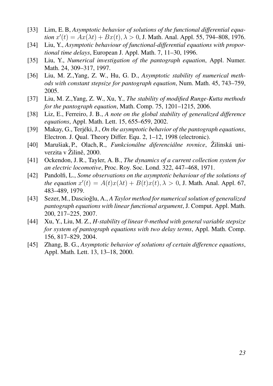- [33] Lim, E. B, *Asymptotic behavior of solutions of the functional differential equation*  $x'(t) = Ax(\lambda t) + Bx(t), \lambda > 0$ , J. Math. Anal. Appl. 55, 794–808, 1976.
- [34] Liu, Y., *Asymptotic behaviour of functional-differential equations with proportional time delays*, European J. Appl. Math. 7, 11–30, 1996.
- <span id="page-22-1"></span>[35] Liu, Y., *Numerical investigation of the pantograph equation*, Appl. Numer. Math. 24, 309–317, 1997.
- <span id="page-22-5"></span>[36] Liu, M. Z.,Yang, Z. W., Hu, G. D., *Asymptotic stability of numerical methods with constant stepsize for pantograph equation*, Num. Math. 45, 743–759, 2005.
- <span id="page-22-2"></span>[37] Liu, M. Z.,Yang, Z. W., Xu, Y., *The stability of modified Runge-Kutta methods for the pantograph equation*, Math. Comp. 75, 1201–1215, 2006.
- <span id="page-22-6"></span>[38] Liz, E., Ferreiro, J. B., *A note on the global stability of generalized difference equations*, Appl. Math. Lett. 15, 655–659, 2002.
- [39] Makay, G., Terjéki, J., *On the asymptotic behavior of the pantograph equations*, Electron. J. Qual. Theory Differ. Equ. 2, 1–12, 1998 (electronic).
- <span id="page-22-0"></span>[40] Marušiak, P., Olach, R., *Funkcionálne diferenciálne rovnice*, Žilinská univerzita v Žilině, 2000.
- [41] Ockendon, J. R., Tayler, A. B., *The dynamics of a current collection system for an electric locomotive*, Proc. Roy. Soc. Lond. 322, 447–468, 1971.
- [42] Pandolfi, L., *Some observations on the asymptotic behaviour of the solutions of the equation*  $x'(t) = A(t)x(\lambda t) + B(t)x(t), \lambda > 0$ , J. Math. Anal. Appl. 67, 483–489, 1979.
- <span id="page-22-3"></span>[43] Sezer, M., Dascioğlu, A., A *Taylor method for numerical solution of generalized pantograph equations with linear functional argument*, J. Comput. Appl. Math. 200, 217–225, 2007.
- <span id="page-22-4"></span>[44] Xu, Y., Liu, M. Z., *H-stability of linear* θ*-method with general variable stepsize for system of pantograph equations with two delay terms*, Appl. Math. Comp. 156, 817–829, 2004.
- [45] Zhang, B. G., *Asymptotic behavior of solutions of certain difference equations*, Appl. Math. Lett. 13, 13–18, 2000.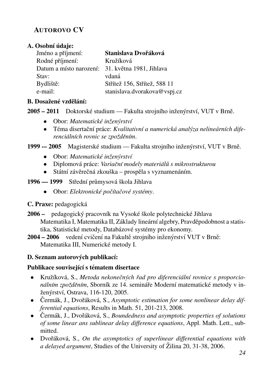# AUTOROVO CV

## A. Osobní údaie:

| Jméno a příjmení:                                | Stanislava Dvořáková         |
|--------------------------------------------------|------------------------------|
| Rodné příjmení:                                  | Kružíková                    |
| Datum a místo narození: 31. května 1981, Jihlava |                              |
| Stav:                                            | vdaná                        |
| Bydliště:                                        | Střítež 156, Střítež, 588 11 |
| e-mail:                                          | stanislava.dvorakova@vspj.cz |

## B. Dosažené vzdělání:

2005 – 2011 Doktorské studium — Fakulta strojního inženýrství, VUT v Brně.

- Obor: *Matematické inženýrství*
- Téma disertační práce: *Kvalitativní a numerická analýza nelineárních diferenciálních rovnic se zpožděním.*
- 1999 -- 2005 Magisterské studium Fakulta strojního inženýrství, VUT v Brně.
	- Obor: *Matematické inženýrství*
	- Diplomová práce: *Variační modely materiálů s mikrostrukturou*
	- Státní závěrečná zkouška prospěla s vyznamenáním.
- 1996 1999 Střední průmysová škola Jihlava
	- Obor: *Elektronické počítačové systémy*.
- C. Praxe: pedagogicka´
- 2006 pedagogický pracovník na Vysoké škole polytechnické Jihlava Matematika I, Matematika II, Základy lineární algebry, Pravděpodobnost a statistika, Statistické metody, Databázové systémy pro ekonomy.

2004 – 2006 vedení cvičení na Fakultě strojního inženýrství VUT v Brně: Matematika III, Numerické metody I.

# D. Seznam autorových publikací:

# Publikace související s tématem disertace

- Kružíková, S., Metoda nekonečných řad pro diferenciální rovnice s proporcio*nálním zpožděním*, Sborník ze 14. semináře Moderní matematické metody v inženýrství, Ostrava, 116-120, 2005.
- Cermák, J., Dvořáková, S., Asymptotic estimation for some nonlinear delay dif*ferential equations*, Results in Math. 51, 201-213, 2008.
- Cermák, J., Dvořáková, S., *Boundedness and asymptotic properties of solutions of some linear ans sublinear delay difference equations*, Appl. Math. Lett., submitted.
- Dvořáková, S., *On the asymptotics of superlinear differential equations with a delayed argument*, Studies of the University of Žilina 20, 31-38, 2006.